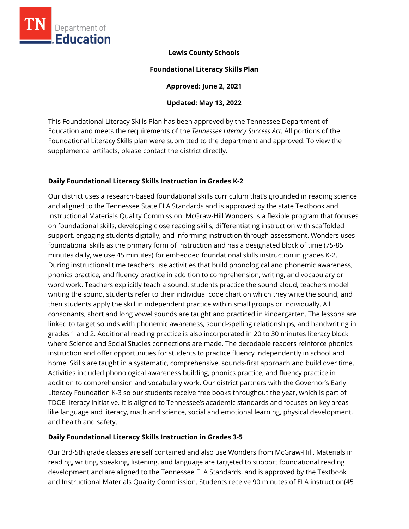

# **Lewis County Schools**

### **Foundational Literacy Skills Plan**

**Approved: June 2, 2021** 

# **Updated: May 13, 2022**

This Foundational Literacy Skills Plan has been approved by the Tennessee Department of Education and meets the requirements of the *Tennessee Literacy Success Act.* All portions of the Foundational Literacy Skills plan were submitted to the department and approved. To view the supplemental artifacts, please contact the district directly.

# **Daily Foundational Literacy Skills Instruction in Grades K-2**

Our district uses a research-based foundational skills curriculum that's grounded in reading science and aligned to the Tennessee State ELA Standards and is approved by the state Textbook and Instructional Materials Quality Commission. McGraw-Hill Wonders is a flexible program that focuses on foundational skills, developing close reading skills, differentiating instruction with scaffolded support, engaging students digitally, and informing instruction through assessment. Wonders uses foundational skills as the primary form of instruction and has a designated block of time (75-85 minutes daily, we use 45 minutes) for embedded foundational skills instruction in grades K-2. During instructional time teachers use activities that build phonological and phonemic awareness, phonics practice, and fluency practice in addition to comprehension, writing, and vocabulary or word work. Teachers explicitly teach a sound, students practice the sound aloud, teachers model writing the sound, students refer to their individual code chart on which they write the sound, and then students apply the skill in independent practice within small groups or individually. All consonants, short and long vowel sounds are taught and practiced in kindergarten. The lessons are linked to target sounds with phonemic awareness, sound-spelling relationships, and handwriting in grades 1 and 2. Additional reading practice is also incorporated in 20 to 30 minutes literacy block where Science and Social Studies connections are made. The decodable readers reinforce phonics instruction and offer opportunities for students to practice fluency independently in school and home. Skills are taught in a systematic, comprehensive, sounds-first approach and build over time. Activities included phonological awareness building, phonics practice, and fluency practice in addition to comprehension and vocabulary work. Our district partners with the Governor's Early Literacy Foundation K-3 so our students receive free books throughout the year, which is part of TDOE literacy initiative. It is aligned to Tennessee's academic standards and focuses on key areas like language and literacy, math and science, social and emotional learning, physical development, and health and safety.

### **Daily Foundational Literacy Skills Instruction in Grades 3-5**

Our 3rd-5th grade classes are self contained and also use Wonders from McGraw-Hill. Materials in reading, writing, speaking, listening, and language are targeted to support foundational reading development and are aligned to the Tennessee ELA Standards, and is approved by the Textbook and Instructional Materials Quality Commission. Students receive 90 minutes of ELA instruction(45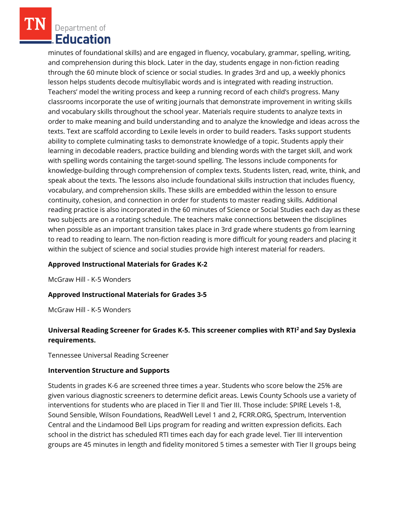Department of **Education** 

minutes of foundational skills) and are engaged in fluency, vocabulary, grammar, spelling, writing, and comprehension during this block. Later in the day, students engage in non-fiction reading through the 60 minute block of science or social studies. In grades 3rd and up, a weekly phonics lesson helps students decode multisyllabic words and is integrated with reading instruction. Teachers' model the writing process and keep a running record of each child's progress. Many classrooms incorporate the use of writing journals that demonstrate improvement in writing skills and vocabulary skills throughout the school year. Materials require students to analyze texts in order to make meaning and build understanding and to analyze the knowledge and ideas across the texts. Text are scaffold according to Lexile levels in order to build readers. Tasks support students ability to complete culminating tasks to demonstrate knowledge of a topic. Students apply their learning in decodable readers, practice building and blending words with the target skill, and work with spelling words containing the target-sound spelling. The lessons include components for knowledge-building through comprehension of complex texts. Students listen, read, write, think, and speak about the texts. The lessons also include foundational skills instruction that includes fluency, vocabulary, and comprehension skills. These skills are embedded within the lesson to ensure continuity, cohesion, and connection in order for students to master reading skills. Additional reading practice is also incorporated in the 60 minutes of Science or Social Studies each day as these two subjects are on a rotating schedule. The teachers make connections between the disciplines when possible as an important transition takes place in 3rd grade where students go from learning to read to reading to learn. The non-fiction reading is more difficult for young readers and placing it within the subject of science and social studies provide high interest material for readers.

#### **Approved Instructional Materials for Grades K-2**

McGraw Hill - K-5 Wonders

### **Approved Instructional Materials for Grades 3-5**

McGraw Hill - K-5 Wonders

# **Universal Reading Screener for Grades K-5. This screener complies with RTI<sup>2</sup>and Say Dyslexia requirements.**

Tennessee Universal Reading Screener

#### **Intervention Structure and Supports**

Students in grades K-6 are screened three times a year. Students who score below the 25% are given various diagnostic screeners to determine deficit areas. Lewis County Schools use a variety of interventions for students who are placed in Tier II and Tier III. Those include: SPIRE Levels 1-8, Sound Sensible, Wilson Foundations, ReadWell Level 1 and 2, FCRR.ORG, Spectrum, Intervention Central and the Lindamood Bell Lips program for reading and written expression deficits. Each school in the district has scheduled RTI times each day for each grade level. Tier III intervention groups are 45 minutes in length and fidelity monitored 5 times a semester with Tier II groups being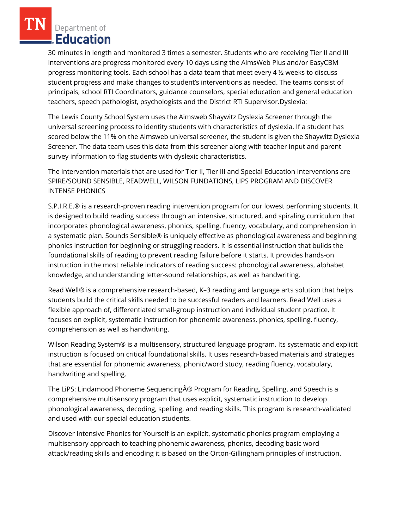Department of **Education** 

30 minutes in length and monitored 3 times a semester. Students who are receiving Tier II and III interventions are progress monitored every 10 days using the AimsWeb Plus and/or EasyCBM progress monitoring tools. Each school has a data team that meet every 4 ½ weeks to discuss student progress and make changes to student's interventions as needed. The teams consist of principals, school RTI Coordinators, guidance counselors, special education and general education teachers, speech pathologist, psychologists and the District RTI Supervisor.Dyslexia:

The Lewis County School System uses the Aimsweb Shaywitz Dyslexia Screener through the universal screening process to identity students with characteristics of dyslexia. If a student has scored below the 11% on the Aimsweb universal screener, the student is given the Shaywitz Dyslexia Screener. The data team uses this data from this screener along with teacher input and parent survey information to flag students with dyslexic characteristics.

The intervention materials that are used for Tier II, Tier III and Special Education Interventions are SPIRE/SOUND SENSIBLE, READWELL, WILSON FUNDATIONS, LIPS PROGRAM AND DISCOVER INTENSE PHONICS

S.P.I.R.E.® is a research-proven reading intervention program for our lowest performing students. It is designed to build reading success through an intensive, structured, and spiraling curriculum that incorporates phonological awareness, phonics, spelling, fluency, vocabulary, and comprehension in a systematic plan. Sounds Sensible® is uniquely effective as phonological awareness and beginning phonics instruction for beginning or struggling readers. It is essential instruction that builds the foundational skills of reading to prevent reading failure before it starts. It provides hands-on instruction in the most reliable indicators of reading success: phonological awareness, alphabet knowledge, and understanding letter-sound relationships, as well as handwriting.

Read Well® is a comprehensive research-based, K–3 reading and language arts solution that helps students build the critical skills needed to be successful readers and learners. Read Well uses a flexible approach of, differentiated small-group instruction and individual student practice. It focuses on explicit, systematic instruction for phonemic awareness, phonics, spelling, fluency, comprehension as well as handwriting.

Wilson Reading System® is a multisensory, structured language program. Its systematic and explicit instruction is focused on critical foundational skills. It uses research-based materials and strategies that are essential for phonemic awareness, phonic/word study, reading fluency, vocabulary, handwriting and spelling.

The LiPS: Lindamood Phoneme Sequencing® Program for Reading, Spelling, and Speech is a comprehensive multisensory program that uses explicit, systematic instruction to develop phonological awareness, decoding, spelling, and reading skills. This program is research-validated and used with our special education students.

Discover Intensive Phonics for Yourself is an explicit, systematic phonics program employing a multisensory approach to teaching phonemic awareness, phonics, decoding basic word attack/reading skills and encoding it is based on the Orton-Gillingham principles of instruction.